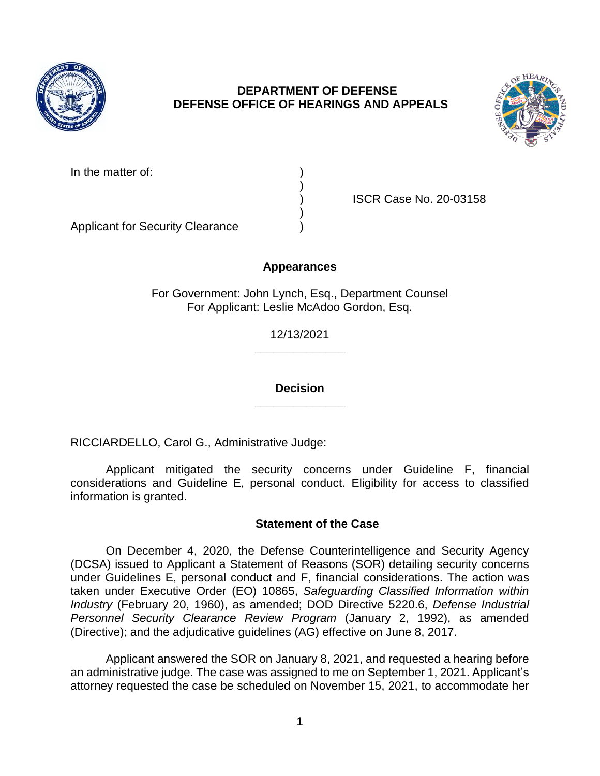

# **DEPARTMENT OF DEFENSE DEFENSE OFFICE OF HEARINGS AND APPEALS**



| In the matter of: |  |
|-------------------|--|
|                   |  |

) ISCR Case No. 20-03158

Applicant for Security Clearance )

# **Appearances**

)

)

For Government: John Lynch, Esq., Department Counsel For Applicant: Leslie McAdoo Gordon, Esq.

> **\_\_\_\_\_\_\_\_\_\_\_\_\_\_**  12/13/2021

> **\_\_\_\_\_\_\_\_\_\_\_\_\_\_ Decision**

RICCIARDELLO, Carol G., Administrative Judge:

 considerations and Guideline E, personal conduct. Eligibility for access to classified Applicant mitigated the security concerns under Guideline F, financial information is granted.

# **Statement of the Case**

 On December 4, 2020, the Defense Counterintelligence and Security Agency (DCSA) issued to Applicant a Statement of Reasons (SOR) detailing security concerns under Guidelines E, personal conduct and F, financial considerations. The action was taken under Executive Order (EO) 10865, *Safeguarding Classified Information within Industry* (February 20, 1960), as amended; DOD Directive 5220.6, *Defense Industrial*  Personnel Security Clearance Review Program (January 2, 1992), as amended (Directive); and the adjudicative guidelines (AG) effective on June 8, 2017.

 Applicant answered the SOR on January 8, 2021, and requested a hearing before an administrative judge. The case was assigned to me on September 1, 2021. Applicant's attorney requested the case be scheduled on November 15, 2021, to accommodate her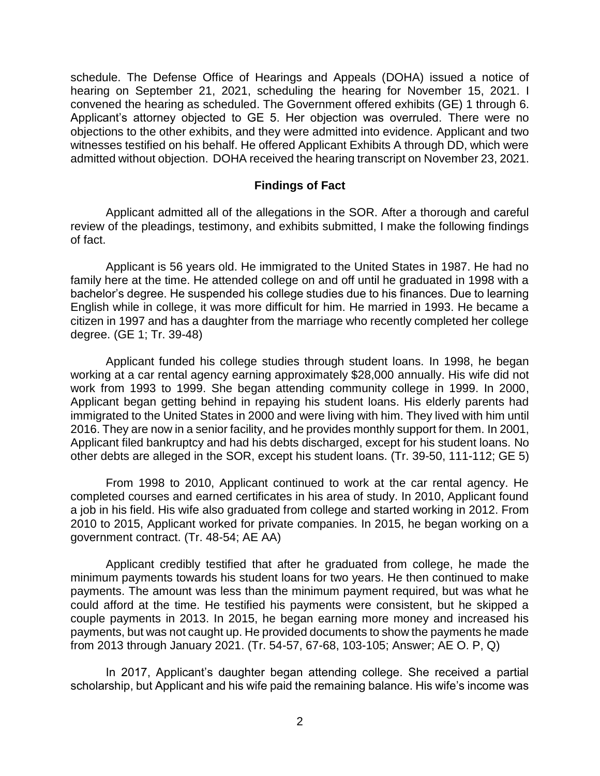schedule. The Defense Office of Hearings and Appeals (DOHA) issued a notice of hearing on September 21, 2021, scheduling the hearing for November 15, 2021. I convened the hearing as scheduled. The Government offered exhibits (GE) 1 through 6. Applicant's attorney objected to GE 5. Her objection was overruled. There were no objections to the other exhibits, and they were admitted into evidence. Applicant and two witnesses testified on his behalf. He offered Applicant Exhibits A through DD, which were admitted without objection. DOHA received the hearing transcript on November 23, 2021.

#### **Findings of Fact**

 Applicant admitted all of the allegations in the SOR. After a thorough and careful review of the pleadings, testimony, and exhibits submitted, I make the following findings of fact.

 Applicant is 56 years old. He immigrated to the United States in 1987. He had no family here at the time. He attended college on and off until he graduated in 1998 with a bachelor's degree. He suspended his college studies due to his finances. Due to learning English while in college, it was more difficult for him. He married in 1993. He became a citizen in 1997 and has a daughter from the marriage who recently completed her college degree. (GE 1; Tr. 39-48)

 Applicant funded his college studies through student loans. In 1998, he began working at a car rental agency earning approximately \$28,000 annually. His wife did not work from 1993 to 1999. She began attending community college in 1999. In 2000, Applicant began getting behind in repaying his student loans. His elderly parents had immigrated to the United States in 2000 and were living with him. They lived with him until 2016. They are now in a senior facility, and he provides monthly support for them. In 2001, Applicant filed bankruptcy and had his debts discharged, except for his student loans. No other debts are alleged in the SOR, except his student loans. (Tr. 39-50, 111-112; GE 5)

 From 1998 to 2010, Applicant continued to work at the car rental agency. He completed courses and earned certificates in his area of study. In 2010, Applicant found 2010 to 2015, Applicant worked for private companies. In 2015, he began working on a a job in his field. His wife also graduated from college and started working in 2012. From government contract. (Tr. 48-54; AE AA)

 Applicant credibly testified that after he graduated from college, he made the minimum payments towards his student loans for two years. He then continued to make payments. The amount was less than the minimum payment required, but was what he could afford at the time. He testified his payments were consistent, but he skipped a couple payments in 2013. In 2015, he began earning more money and increased his payments, but was not caught up. He provided documents to show the payments he made from 2013 through January 2021. (Tr. 54-57, 67-68, 103-105; Answer; AE O. P, Q)

 In 2017, Applicant's daughter began attending college. She received a partial scholarship, but Applicant and his wife paid the remaining balance. His wife's income was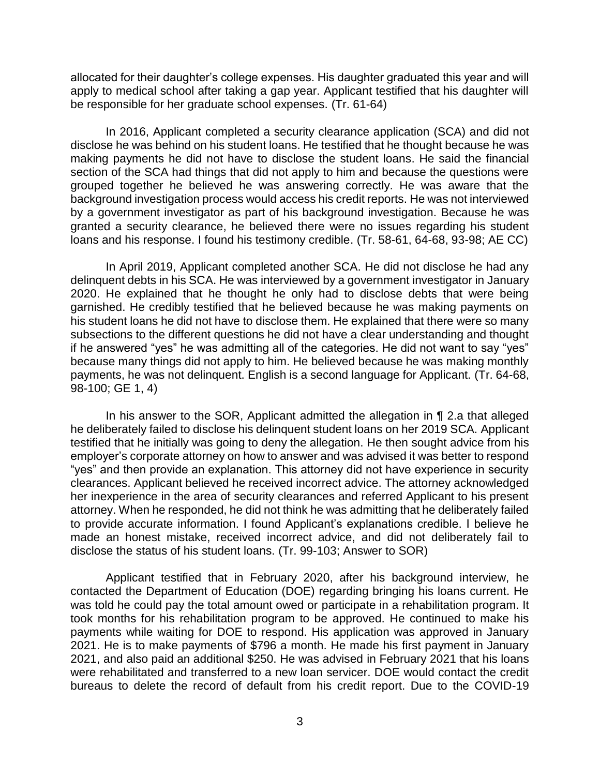allocated for their daughter's college expenses. His daughter graduated this year and will apply to medical school after taking a gap year. Applicant testified that his daughter will be responsible for her graduate school expenses. (Tr. 61-64)

 In 2016, Applicant completed a security clearance application (SCA) and did not disclose he was behind on his student loans. He testified that he thought because he was making payments he did not have to disclose the student loans. He said the financial section of the SCA had things that did not apply to him and because the questions were background investigation process would access his credit reports. He was not interviewed by a government investigator as part of his background investigation. Because he was granted a security clearance, he believed there were no issues regarding his student grouped together he believed he was answering correctly. He was aware that the loans and his response. I found his testimony credible. (Tr. 58-61, 64-68, 93-98; AE CC)

 In April 2019, Applicant completed another SCA. He did not disclose he had any delinquent debts in his SCA. He was interviewed by a government investigator in January 2020. He explained that he thought he only had to disclose debts that were being garnished. He credibly testified that he believed because he was making payments on his student loans he did not have to disclose them. He explained that there were so many subsections to the different questions he did not have a clear understanding and thought if he answered "yes" he was admitting all of the categories. He did not want to say "yes" payments, he was not delinquent. English is a second language for Applicant. (Tr. 64-68, because many things did not apply to him. He believed because he was making monthly 98-100; GE 1, 4)

 In his answer to the SOR, Applicant admitted the allegation in ¶ 2.a that alleged he deliberately failed to disclose his delinquent student loans on her 2019 SCA. Applicant testified that he initially was going to deny the allegation. He then sought advice from his employer's corporate attorney on how to answer and was advised it was better to respond "yes" and then provide an explanation. This attorney did not have experience in security clearances. Applicant believed he received incorrect advice. The attorney acknowledged her inexperience in the area of security clearances and referred Applicant to his present attorney. When he responded, he did not think he was admitting that he deliberately failed to provide accurate information. I found Applicant's explanations credible. I believe he made an honest mistake, received incorrect advice, and did not deliberately fail to disclose the status of his student loans. (Tr. 99-103; Answer to SOR)

 Applicant testified that in February 2020, after his background interview, he contacted the Department of Education (DOE) regarding bringing his loans current. He was told he could pay the total amount owed or participate in a rehabilitation program. It took months for his rehabilitation program to be approved. He continued to make his payments while waiting for DOE to respond. His application was approved in January 2021. He is to make payments of \$796 a month. He made his first payment in January were rehabilitated and transferred to a new loan servicer. DOE would contact the credit bureaus to delete the record of default from his credit report. Due to the COVID-19 2021, and also paid an additional \$250. He was advised in February 2021 that his loans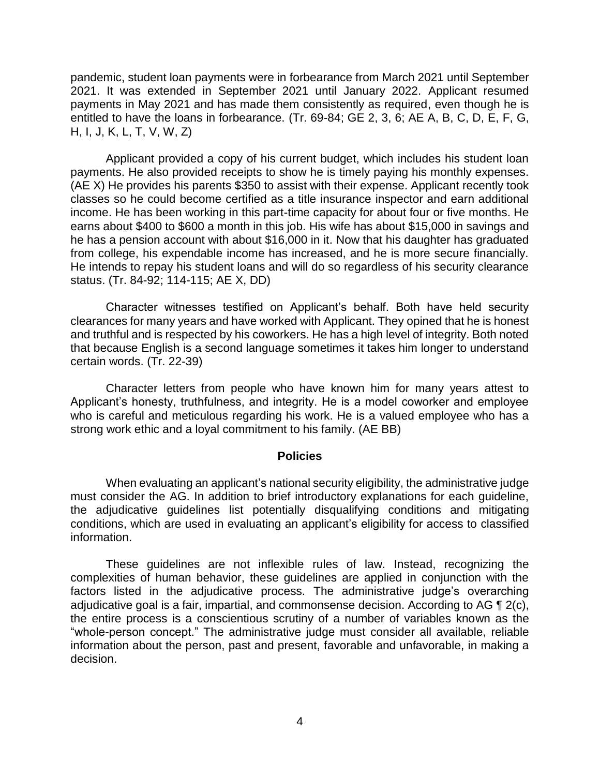payments in May 2021 and has made them consistently as required, even though he is entitled to have the loans in forbearance. (Tr. 69-84; GE 2, 3, 6; AE A, B, C, D, E, F, G, pandemic, student loan payments were in forbearance from March 2021 until September 2021. It was extended in September 2021 until January 2022. Applicant resumed H, I, J, K, L, T, V, W, Z)

 Applicant provided a copy of his current budget, which includes his student loan payments. He also provided receipts to show he is timely paying his monthly expenses. (AE X) He provides his parents \$350 to assist with their expense. Applicant recently took classes so he could become certified as a title insurance inspector and earn additional income. He has been working in this part-time capacity for about four or five months. He he has a pension account with about \$16,000 in it. Now that his daughter has graduated from college, his expendable income has increased, and he is more secure financially. He intends to repay his student loans and will do so regardless of his security clearance earns about \$400 to \$600 a month in this job. His wife has about \$15,000 in savings and status. (Tr. 84-92; 114-115; AE X, DD)

 Character witnesses testified on Applicant's behalf. Both have held security clearances for many years and have worked with Applicant. They opined that he is honest and truthful and is respected by his coworkers. He has a high level of integrity. Both noted that because English is a second language sometimes it takes him longer to understand certain words. (Tr. 22-39)

Character letters from people who have known him for many years attest to Applicant's honesty, truthfulness, and integrity. He is a model coworker and employee who is careful and meticulous regarding his work. He is a valued employee who has a strong work ethic and a loyal commitment to his family. (AE BB)

#### **Policies**

 When evaluating an applicant's national security eligibility, the administrative judge must consider the AG. In addition to brief introductory explanations for each guideline, the adjudicative guidelines list potentially disqualifying conditions and mitigating conditions, which are used in evaluating an applicant's eligibility for access to classified information.

 These guidelines are not inflexible rules of law. Instead, recognizing the complexities of human behavior, these guidelines are applied in conjunction with the factors listed in the adjudicative process. The administrative judge's overarching adjudicative goal is a fair, impartial, and commonsense decision. According to AG  $\P$  2(c), the entire process is a conscientious scrutiny of a number of variables known as the "whole-person concept." The administrative judge must consider all available, reliable information about the person, past and present, favorable and unfavorable, in making a decision.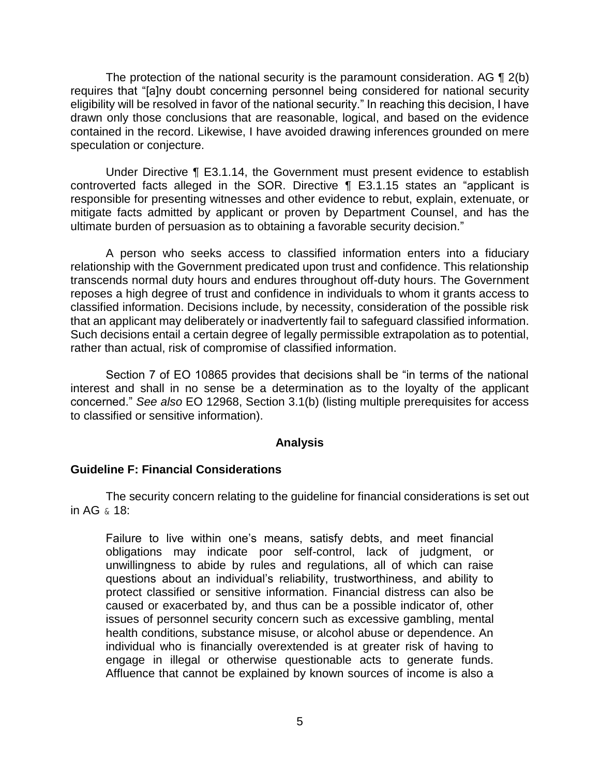The protection of the national security is the paramount consideration. AG  $\P$  2(b) eligibility will be resolved in favor of the national security." In reaching this decision, I have drawn only those conclusions that are reasonable, logical, and based on the evidence contained in the record. Likewise, I have avoided drawing inferences grounded on mere requires that "[a]ny doubt concerning personnel being considered for national security speculation or conjecture.

 Under Directive ¶ E3.1.14, the Government must present evidence to establish controverted facts alleged in the SOR. Directive ¶ E3.1.15 states an "applicant is responsible for presenting witnesses and other evidence to rebut, explain, extenuate, or mitigate facts admitted by applicant or proven by Department Counsel, and has the ultimate burden of persuasion as to obtaining a favorable security decision."

 A person who seeks access to classified information enters into a fiduciary relationship with the Government predicated upon trust and confidence. This relationship transcends normal duty hours and endures throughout off-duty hours. The Government reposes a high degree of trust and confidence in individuals to whom it grants access to classified information. Decisions include, by necessity, consideration of the possible risk that an applicant may deliberately or inadvertently fail to safeguard classified information. Such decisions entail a certain degree of legally permissible extrapolation as to potential, rather than actual, risk of compromise of classified information.

 Section 7 of EO 10865 provides that decisions shall be "in terms of the national interest and shall in no sense be a determination as to the loyalty of the applicant concerned." *See also* EO 12968, Section 3.1(b) (listing multiple prerequisites for access to classified or sensitive information).

#### **Analysis**

## **Guideline F: Financial Considerations**

 The security concern relating to the guideline for financial considerations is set out in AG & 18:

Failure to live within one's means, satisfy debts, and meet financial obligations may indicate poor self-control, lack of judgment, or unwillingness to abide by rules and regulations, all of which can raise questions about an individual's reliability, trustworthiness, and ability to protect classified or sensitive information. Financial distress can also be caused or exacerbated by, and thus can be a possible indicator of, other issues of personnel security concern such as excessive gambling, mental health conditions, substance misuse, or alcohol abuse or dependence. An individual who is financially overextended is at greater risk of having to engage in illegal or otherwise questionable acts to generate funds. Affluence that cannot be explained by known sources of income is also a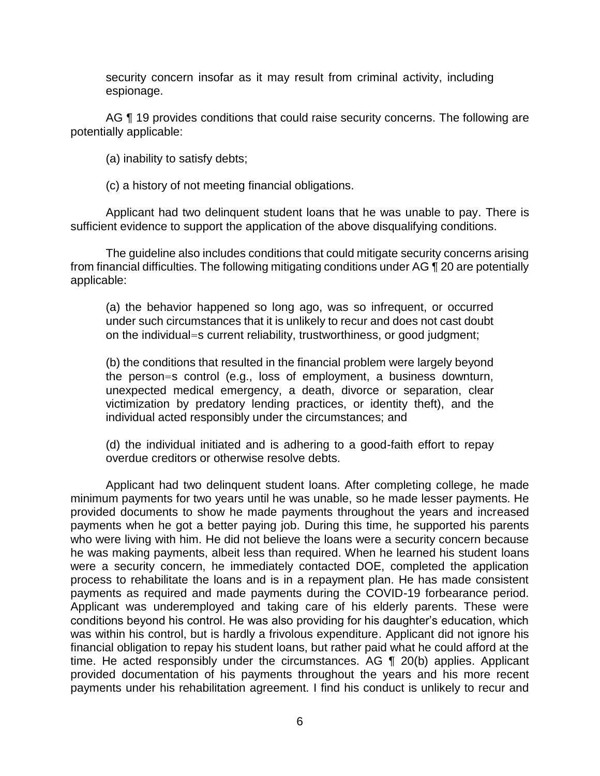security concern insofar as it may result from criminal activity, including espionage.

AG ¶ 19 provides conditions that could raise security concerns. The following are potentially applicable:

(a) inability to satisfy debts;

(c) a history of not meeting financial obligations.

 Applicant had two delinquent student loans that he was unable to pay. There is sufficient evidence to support the application of the above disqualifying conditions.

 The guideline also includes conditions that could mitigate security concerns arising from financial difficulties. The following mitigating conditions under AG ¶ 20 are potentially applicable:

 (a) the behavior happened so long ago, was so infrequent, or occurred under such circumstances that it is unlikely to recur and does not cast doubt on the individual=s current reliability, trustworthiness, or good judgment;

 (b) the conditions that resulted in the financial problem were largely beyond the person=s control (e.g., loss of employment, a business downturn, unexpected medical emergency, a death, divorce or separation, clear victimization by predatory lending practices, or identity theft), and the individual acted responsibly under the circumstances; and

 (d) the individual initiated and is adhering to a good-faith effort to repay overdue creditors or otherwise resolve debts.

 Applicant had two delinquent student loans. After completing college, he made minimum payments for two years until he was unable, so he made lesser payments. He provided documents to show he made payments throughout the years and increased payments when he got a better paying job. During this time, he supported his parents who were living with him. He did not believe the loans were a security concern because he was making payments, albeit less than required. When he learned his student loans were a security concern, he immediately contacted DOE, completed the application process to rehabilitate the loans and is in a repayment plan. He has made consistent payments as required and made payments during the COVID-19 forbearance period. Applicant was underemployed and taking care of his elderly parents. These were conditions beyond his control. He was also providing for his daughter's education, which was within his control, but is hardly a frivolous expenditure. Applicant did not ignore his time. He acted responsibly under the circumstances. AG ¶ 20(b) applies. Applicant provided documentation of his payments throughout the years and his more recent payments under his rehabilitation agreement. I find his conduct is unlikely to recur and financial obligation to repay his student loans, but rather paid what he could afford at the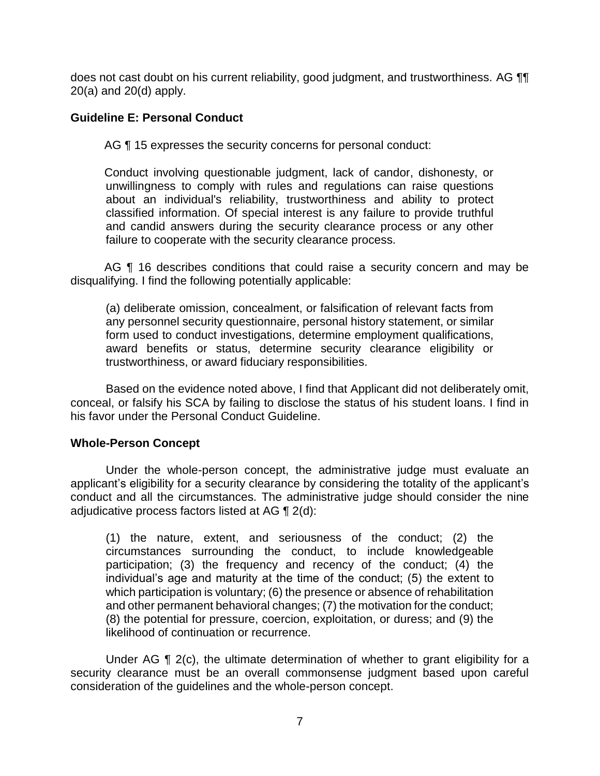does not cast doubt on his current reliability, good judgment, and trustworthiness. AG  $\P\P$ 20(a) and 20(d) apply.

## **Guideline E: Personal Conduct**

AG ¶ 15 expresses the security concerns for personal conduct:

 unwillingness to comply with rules and regulations can raise questions about an individual's reliability, trustworthiness and ability to protect classified information. Of special interest is any failure to provide truthful and candid answers during the security clearance process or any other Conduct involving questionable judgment, lack of candor, dishonesty, or failure to cooperate with the security clearance process.

AG ¶ 16 describes conditions that could raise a security concern and may be disqualifying. I find the following potentially applicable:

 any personnel security questionnaire, personal history statement, or similar form used to conduct investigations, determine employment qualifications, award benefits or status, determine security clearance eligibility or (a) deliberate omission, concealment, or falsification of relevant facts from trustworthiness, or award fiduciary responsibilities.

 Based on the evidence noted above, I find that Applicant did not deliberately omit, conceal, or falsify his SCA by failing to disclose the status of his student loans. I find in his favor under the Personal Conduct Guideline.

## **Whole-Person Concept**

 Under the whole-person concept, the administrative judge must evaluate an applicant's eligibility for a security clearance by considering the totality of the applicant's conduct and all the circumstances. The administrative judge should consider the nine adjudicative process factors listed at AG ¶ 2(d):

(1) the nature, extent, and seriousness of the conduct; (2) the circumstances surrounding the conduct, to include knowledgeable participation; (3) the frequency and recency of the conduct; (4) the individual's age and maturity at the time of the conduct; (5) the extent to which participation is voluntary; (6) the presence or absence of rehabilitation and other permanent behavioral changes; (7) the motivation for the conduct; (8) the potential for pressure, coercion, exploitation, or duress; and (9) the likelihood of continuation or recurrence.

Under AG ¶ 2(c), the ultimate determination of whether to grant eligibility for a security clearance must be an overall commonsense judgment based upon careful consideration of the guidelines and the whole-person concept.